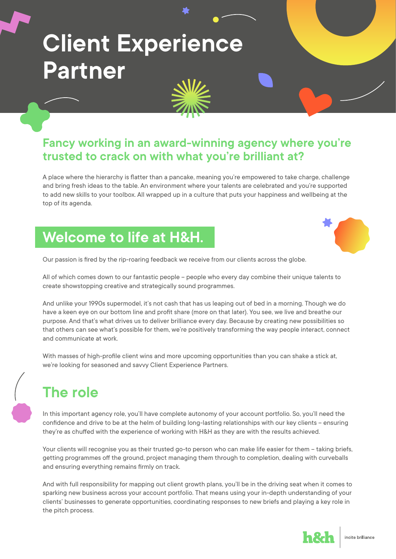# **Client Experience Partner**



A place where the hierarchy is flatter than a pancake, meaning you're empowered to take charge, challenge and bring fresh ideas to the table. An environment where your talents are celebrated and you're supported to add new skills to your toolbox. All wrapped up in a culture that puts your happiness and wellbeing at the top of its agenda.

#### **Welcome to life at H&H.**



Our passion is fired by the rip-roaring feedback we receive from our clients across the globe.

All of which comes down to our fantastic people – people who every day combine their unique talents to create showstopping creative and strategically sound programmes.

And unlike your 1990s supermodel, it's not cash that has us leaping out of bed in a morning. Though we do have a keen eye on our bottom line and profit share (more on that later). You see, we live and breathe our purpose. And that's what drives us to deliver brilliance every day. Because by creating new possibilities so that others can see what's possible for them, we're positively transforming the way people interact, connect and communicate at work.

With masses of high-profile client wins and more upcoming opportunities than you can shake a stick at, we're looking for seasoned and savvy Client Experience Partners.

#### **The role**

In this important agency role, you'll have complete autonomy of your account portfolio. So, you'll need the confidence and drive to be at the helm of building long-lasting relationships with our key clients – ensuring they're as chuffed with the experience of working with H&H as they are with the results achieved.

Your clients will recognise you as their trusted go-to person who can make life easier for them - taking briefs, getting programmes off the ground, project managing them through to completion, dealing with curveballs and ensuring everything remains firmly on track.

And with full responsibility for mapping out client growth plans, you'll be in the driving seat when it comes to sparking new business across your account portfolio. That means using your in-depth understanding of your clients' businesses to generate opportunities, coordinating responses to new briefs and playing a key role in the pitch process.